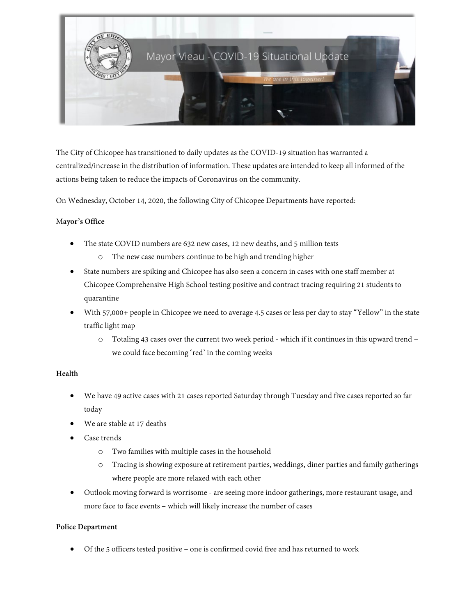

The City of Chicopee has transitioned to daily updates as the COVID-19 situation has warranted a centralized/increase in the distribution of information. These updates are intended to keep all informed of the actions being taken to reduce the impacts of Coronavirus on the community.

On Wednesday, October 14, 2020, the following City of Chicopee Departments have reported:

# M**ayor's Office**

- The state COVID numbers are 632 new cases, 12 new deaths, and 5 million tests
	- o The new case numbers continue to be high and trending higher
- State numbers are spiking and Chicopee has also seen a concern in cases with one staff member at Chicopee Comprehensive High School testing positive and contract tracing requiring 21 students to quarantine
- With 57,000+ people in Chicopee we need to average 4.5 cases or less per day to stay "Yellow" in the state traffic light map
	- o Totaling 43 cases over the current two week period which if it continues in this upward trend we could face becoming 'red' in the coming weeks

### **Health**

- We have 49 active cases with 21 cases reported Saturday through Tuesday and five cases reported so far today
- We are stable at 17 deaths
- Case trends
	- o Two families with multiple cases in the household
	- o Tracing is showing exposure at retirement parties, weddings, diner parties and family gatherings where people are more relaxed with each other
- Outlook moving forward is worrisome are seeing more indoor gatherings, more restaurant usage, and more face to face events – which will likely increase the number of cases

### **Police Department**

• Of the 5 officers tested positive – one is confirmed covid free and has returned to work